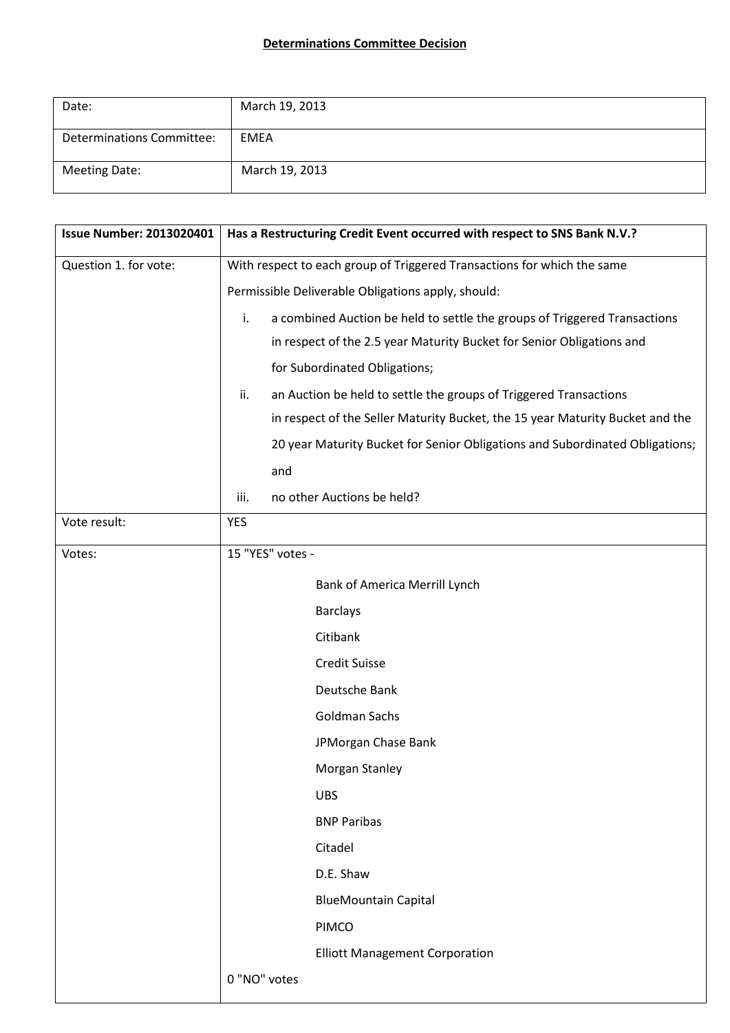## **Determinations Committee Decision**

| Date:                            | March 19, 2013 |
|----------------------------------|----------------|
| <b>Determinations Committee:</b> | EMEA           |
| <b>Meeting Date:</b>             | March 19, 2013 |

| <b>Issue Number: 2013020401</b> | Has a Restructuring Credit Event occurred with respect to SNS Bank N.V.?        |
|---------------------------------|---------------------------------------------------------------------------------|
| Question 1. for vote:           | With respect to each group of Triggered Transactions for which the same         |
|                                 | Permissible Deliverable Obligations apply, should:                              |
|                                 | i.<br>a combined Auction be held to settle the groups of Triggered Transactions |
|                                 | in respect of the 2.5 year Maturity Bucket for Senior Obligations and           |
|                                 | for Subordinated Obligations;                                                   |
|                                 | an Auction be held to settle the groups of Triggered Transactions<br>ii.        |
|                                 | in respect of the Seller Maturity Bucket, the 15 year Maturity Bucket and the   |
|                                 | 20 year Maturity Bucket for Senior Obligations and Subordinated Obligations;    |
|                                 | and                                                                             |
|                                 | no other Auctions be held?<br>iii.                                              |
| Vote result:                    | <b>YES</b>                                                                      |
| Votes:                          | 15 "YES" votes -                                                                |
|                                 | Bank of America Merrill Lynch                                                   |
|                                 | <b>Barclays</b>                                                                 |
|                                 | Citibank                                                                        |
|                                 | <b>Credit Suisse</b>                                                            |
|                                 | Deutsche Bank                                                                   |
|                                 | Goldman Sachs                                                                   |
|                                 | JPMorgan Chase Bank                                                             |
|                                 | Morgan Stanley                                                                  |
|                                 | <b>UBS</b>                                                                      |
|                                 | <b>BNP Paribas</b>                                                              |
|                                 | Citadel                                                                         |
|                                 | D.E. Shaw                                                                       |
|                                 | <b>BlueMountain Capital</b>                                                     |
|                                 | PIMCO                                                                           |
|                                 | <b>Elliott Management Corporation</b>                                           |
|                                 | 0 "NO" votes                                                                    |